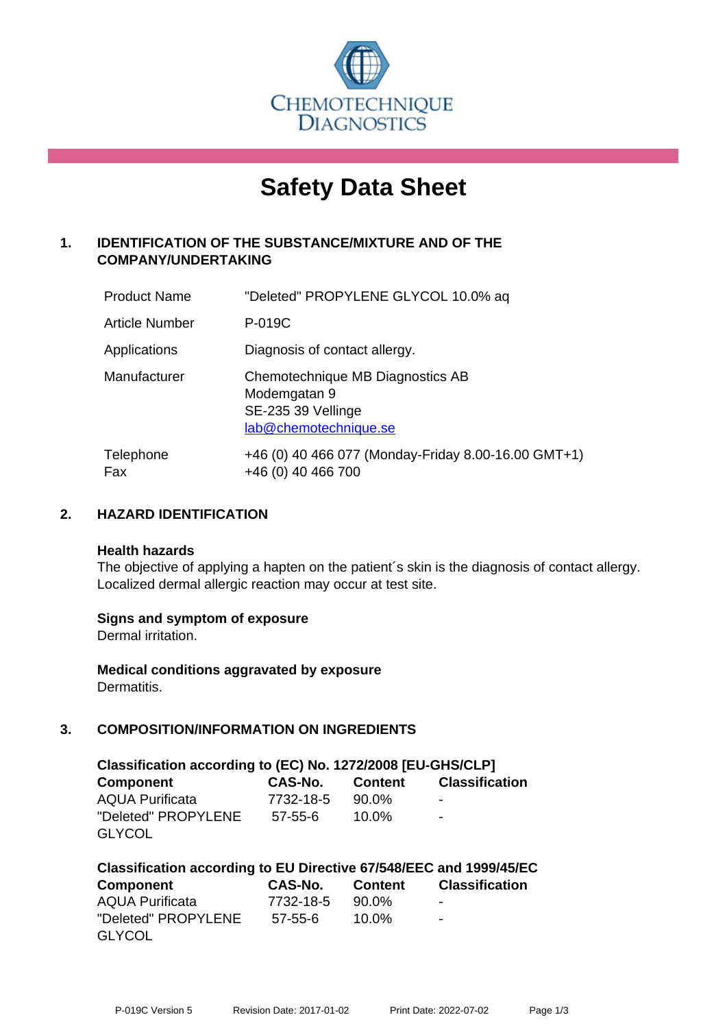

# **Safety Data Sheet**

# **1. IDENTIFICATION OF THE SUBSTANCE/MIXTURE AND OF THE COMPANY/UNDERTAKING**

| <b>Product Name</b>   | "Deleted" PROPYLENE GLYCOL 10.0% aq                                                             |
|-----------------------|-------------------------------------------------------------------------------------------------|
| <b>Article Number</b> | P-019C                                                                                          |
| Applications          | Diagnosis of contact allergy.                                                                   |
| Manufacturer          | Chemotechnique MB Diagnostics AB<br>Modemgatan 9<br>SE-235 39 Vellinge<br>lab@chemotechnique.se |
| Telephone<br>Fax      | +46 (0) 40 466 077 (Monday-Friday 8.00-16.00 GMT+1)<br>+46 (0) 40 466 700                       |

## **2. HAZARD IDENTIFICATION**

#### **Health hazards**

The objective of applying a hapten on the patient's skin is the diagnosis of contact allergy. Localized dermal allergic reaction may occur at test site.

## **Signs and symptom of exposure**

Dermal irritation.

**Medical conditions aggravated by exposure** Dermatitis.

# **3. COMPOSITION/INFORMATION ON INGREDIENTS**

| Classification according to (EC) No. 1272/2008 [EU-GHS/CLP] |           |          |                          |  |
|-------------------------------------------------------------|-----------|----------|--------------------------|--|
| Component                                                   | CAS-No.   | Content  | <b>Classification</b>    |  |
| <b>AQUA Purificata</b>                                      | 7732-18-5 | 90.0%    | ۰                        |  |
| "Deleted" PROPYLENE                                         | 57-55-6   | $10.0\%$ | $\overline{\phantom{a}}$ |  |
| <b>GLYCOL</b>                                               |           |          |                          |  |

| Classification according to EU Directive 67/548/EEC and 1999/45/EC |                 |          |                          |  |
|--------------------------------------------------------------------|-----------------|----------|--------------------------|--|
| Component                                                          | CAS-No. Content |          | <b>Classification</b>    |  |
| <b>AQUA Purificata</b>                                             | 7732-18-5       | 90.0%    | $\,$                     |  |
| "Deleted" PROPYLENE                                                | 57-55-6         | $10.0\%$ | $\overline{\phantom{0}}$ |  |
| <b>GLYCOL</b>                                                      |                 |          |                          |  |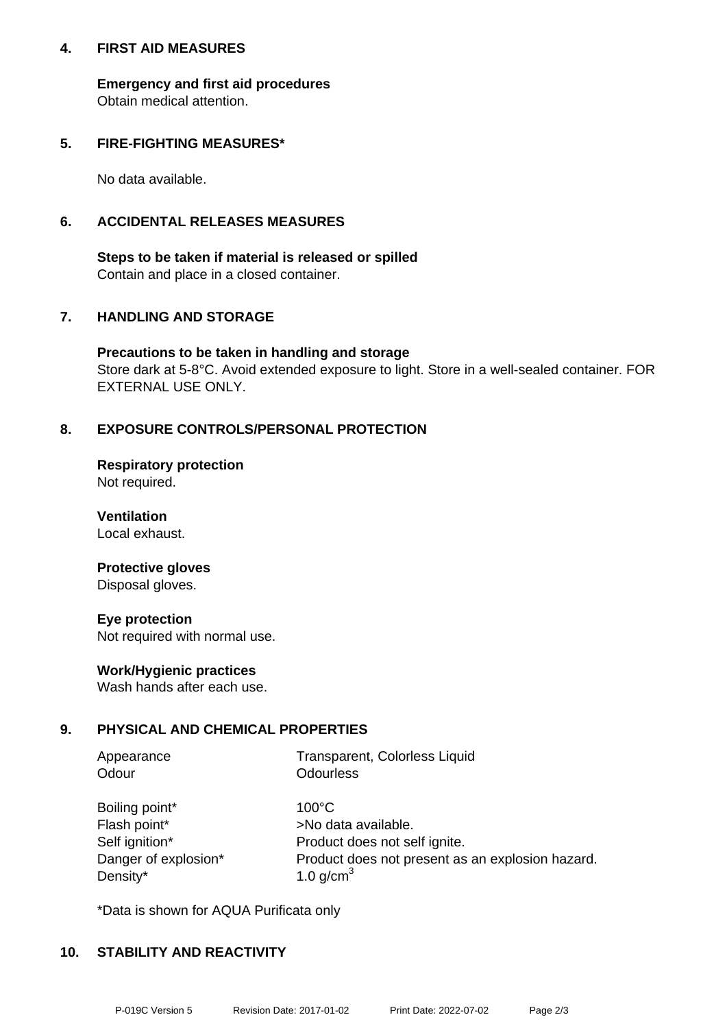## **4. FIRST AID MEASURES**

**Emergency and first aid procedures** Obtain medical attention.

## **5. FIRE-FIGHTING MEASURES\***

No data available.

## **6. ACCIDENTAL RELEASES MEASURES**

**Steps to be taken if material is released or spilled** Contain and place in a closed container.

## **7. HANDLING AND STORAGE**

**Precautions to be taken in handling and storage** Store dark at 5-8°C. Avoid extended exposure to light. Store in a well-sealed container. FOR EXTERNAL USE ONLY.

## **8. EXPOSURE CONTROLS/PERSONAL PROTECTION**

**Respiratory protection** Not required.

**Ventilation** Local exhaust.

#### **Protective gloves** Disposal gloves.

**Eye protection** Not required with normal use.

## **Work/Hygienic practices**

Wash hands after each use.

## **9. PHYSICAL AND CHEMICAL PROPERTIES**

| Appearance | Transparent, Colorless Liquid |
|------------|-------------------------------|
| Odour      | <b>Odourless</b>              |

| Boiling point*       |
|----------------------|
| Flash point*         |
| Self ignition*       |
| Danger of explosion* |
| Density*             |

 $100^{\circ}$ C >No data available. Product does not self ignite. Product does not present as an explosion hazard. 1.0 g/cm $<sup>3</sup>$ </sup>

\*Data is shown for AQUA Purificata only

## **10. STABILITY AND REACTIVITY**